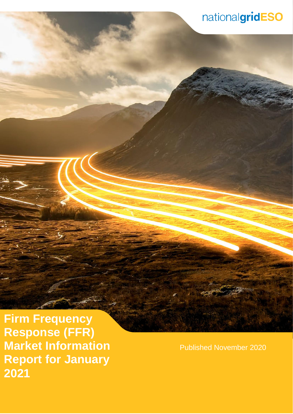**Firm Frequency Response (FFR) Market Information Report for January 2021**

Published November 2020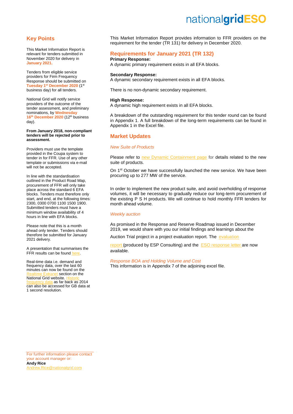### **Key Points**

This Market Information Report is relevant for tenders submitted in November 2020 for delivery in **January 2021.**

Tenders from eligible service providers for Firm Frequency Response should be submitted on **Tuesday 1st December 2020** (1 st business day) for all tenders.

National Grid will notify service providers of the outcome of the tender assessment, and preliminary nominations, by **Wednesday 16 th December 2020** (12th business day).

#### **From January 2018, non-compliant tenders will be rejected prior to assessment.**

Providers must use the template provided in the Coupa system to tender in for FFR. Use of any other template or submissions via e-mail will not be accepted.

In line with the standardisation outlined in the Product Road Map, procurement of FFR will only take place across the standard 6 EFA blocks. Tenders must therefore only start, and end, at the following times: 2300, 0300 0700 1100 1500 1900. Submitted tenders must have a minimum window availability of 4 hours in line with EFA blocks.

Please note that this is a month ahead only tender. Tenders should therefore be submitted for January 2021 delivery.

A presentation that summarises the FFR results can be found he

Real-time data i.e. demand and frequency data, over the last 60 minutes can now be found on the section on the National Grid website. a as far back as 2014 can also be accessed for GB data at 1 second resolution.

This Market Information Report provides information to FFR providers on the requirement for the tender (TR 131) for delivery in December 2020.

## **Requirements for January 2021 (TR 132)**

### **Primary Response:**

A dynamic primary requirement exists in all EFA blocks.

#### **Secondary Response:**

A dynamic secondary requirement exists in all EFA blocks.

There is no non-dynamic secondary requirement.

#### **High Response:**

A dynamic high requirement exists in all EFA blocks.

A breakdown of the outstanding requirement for this tender round can be found in Appendix 1. A full breakdown of the long-term requirements can be found in Appendix 1 in the Excel file.

### **Market Updates**

#### *New Suite of Products*

Please refer to [new Dynamic Containment page](https://www.nationalgrideso.com/industry-information/balancing-services/frequency-response-services/dynamic-containment) for details related to the new suite of products.

On 1<sup>st</sup> October we have successfully launched the new service. We have been procuring up to 277 MW of the service.

In order to implement the new product suite, and avoid overholding of response volumes, it will be necessary to gradually reduce our long-term procurement of the existing P S H products. We will continue to hold monthly FFR tenders for month ahead volume.

#### *Weekly auction*

As promised in the Response and Reserve Roadmap issued in December 2019, we would share with you our initial findings and learnings about the

Auction Trial project in a project [evaluation](https://www.nationalgrideso.com/document/176721/download) report. The evaluation

[report](https://www.nationalgrideso.com/document/176721/download) (produced by ESP Consulting) and the ESO [response letter](https://www.nationalgrideso.com/document/176726/download) are now available.

#### *Response BOA and Holding Volume and Cost*

This information is in Appendix 7 of the adjoining excel file.

For further information please contact your account manager or: **Andy Rice** [Andrew.Rice@nationalgrid.com](mailto:Andrew.Rice@nationalgrid.com)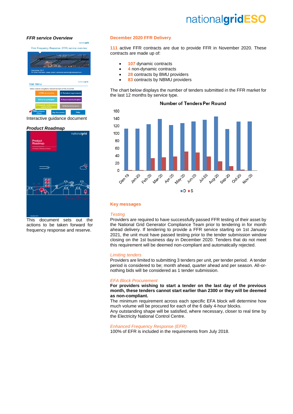#### *[FFR service Overview](https://www.nationalgrid.com/sites/default/files/documents/Firm%20Frequency%20Response%20%28FFR%29%20Interactive%20Guidance%20v1%200_0.pdf)*

Firm Frequency Response (FFR) service overview Main Menu of this o



#### *[Product Roadmap](https://www.nationalgrid.com/sites/default/files/documents/Product%20Roadmap%20for%20Frequency%20Response%20and%20Reserve.pdf)*



This document sets out the actions to be taken forward for frequency response and reserve.

#### **December 2020 FFR Delivery**

**111** active FFR contracts are due to provide FFR in November 2020. These contracts are made up of:

- **107** dynamic contracts
- **4** non-dynamic contracts
- **28** contracts by BMU providers
- **83** contracts by NBMU providers

The chart below displays the number of tenders submitted in the FFR market for the last 12 months by service type.

#### Number of Tenders Per Round 160 140 120  $100$ 80 60  $40$ 20  $\mathbf 0$ Decino Jan20 Febric **Marzo** Apr<sub>20</sub> **May-20** Juni20 **Alize** Augyp Oct-20 Seprito **Algy-10**  $\blacksquare$   $\blacksquare$   $\blacksquare$   $\blacksquare$   $\blacksquare$   $\blacksquare$

#### **Key messages**

#### *Testing*

Providers are required to have successfully passed FFR testing of their asset by the National Grid Generator Compliance Team prior to tendering in for month ahead delivery. If tendering to provide a FFR service starting on 1st January 2021, the unit must have passed testing prior to the tender submission window closing on the 1st business day in December 2020. Tenders that do not meet this requirement will be deemed non-compliant and automatically rejected.

#### *Limiting tenders*

Providers are limited to submitting 3 tenders per unit, per tender period. A tender period is considered to be; month ahead, quarter ahead and per season. All-ornothing bids will be considered as 1 tender submission.

#### *EFA Block Procurement*

**For providers wishing to start a tender on the last day of the previous month, these tenders cannot start earlier than 2300 or they will be deemed as non-compliant.**

The minimum requirement across each specific EFA block will determine how much volume will be procured for each of the 6 daily 4-hour blocks.

Any outstanding shape will be satisfied, where necessary, closer to real time by the Electricity National Control Centre.

### *Enhanced Frequency Response (EFR)*

100% of EFR is included in the requirements from July 2018.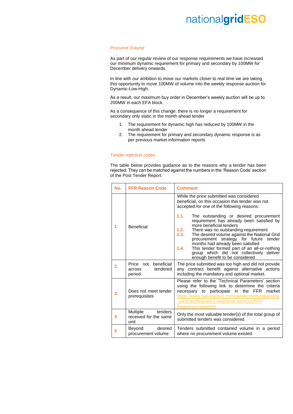#### *Procured Volume*

As part of our regular review of our response requirements we have increased our minimum dynamic requirement for primary and secondary by 100MW for December delivery onwards.

In line with our ambition to move our markets closer to real time we are taking this opportunity to move 100MW of volume into the weekly response auction for Dynamic-Low-High.

As a result, our maximum buy order in December's weekly auction will be up to 200MW in each EFA block.

As a consequence of this change: there is no longer a requirement for secondary only static in the month ahead tender

- 1. The requirement for dynamic high has reduced by 100MW in the month ahead tender
- 2. The requirement for primary and secondary dynamic response is as per previous market information reports

#### *Tender rejection codes*

The table below provides guidance as to the reasons why a tender has been rejected. They can be matched against the numbers in the 'Reason Code' section of the Post Tender Report.

| No.            | <b>FFR Reason Code</b>                                      | <b>Comment</b>                                                                                                                                                                                                                                                                                                                                                                                                                                                                                                                                                                                        |
|----------------|-------------------------------------------------------------|-------------------------------------------------------------------------------------------------------------------------------------------------------------------------------------------------------------------------------------------------------------------------------------------------------------------------------------------------------------------------------------------------------------------------------------------------------------------------------------------------------------------------------------------------------------------------------------------------------|
| 1              | <b>Beneficial</b>                                           | While the price submitted was considered<br>beneficial, on this occasion this tender was not<br>accepted for one of the following reasons:<br>1.1.<br>The outstanding or desired procurement<br>requirement has already been satisfied by<br>more beneficial tenders<br>1.2.<br>There was no outstanding requirement<br>1.3.<br>The desired volume against the National Grid<br>procurement strategy for future<br>tender<br>months had already been satisfied<br>1.4.<br>This tender formed part of an all-or-nothing<br>group which did not collectively deliver<br>enough benefit to be considered |
| $\overline{2}$ | beneficial<br>Price not<br>tendered<br>across<br>period     | The price submitted was too high and did not provide<br>any contract benefit against alternative actions<br>including the mandatory and optional market.                                                                                                                                                                                                                                                                                                                                                                                                                                              |
| 3              | Does not meet tender<br>prerequisites                       | Please refer to the 'Technical Parameters' section<br>using the following link to determine the criteria<br>to participate in the FFR<br>market<br>necessary<br>https://www.nationalgrid.com/uk/electricity/balancing<br>-services/frequency-response-services/firm-<br>frequency-response                                                                                                                                                                                                                                                                                                            |
| 4              | tenders<br><b>Multiple</b><br>received for the same<br>unit | Only the most valuable tender(s) of the total group of<br>submitted tenders was considered.                                                                                                                                                                                                                                                                                                                                                                                                                                                                                                           |
| 5              | desired<br>Beyond<br>procurement volume                     | Tenders submitted contained volume in a period<br>where no procurement volume existed                                                                                                                                                                                                                                                                                                                                                                                                                                                                                                                 |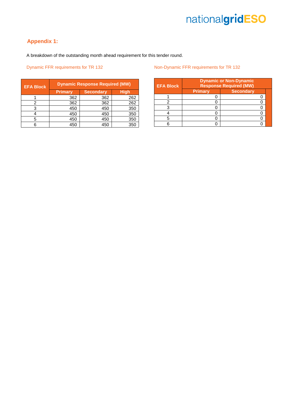# **Appendix 1:**

A breakdown of the outstanding month ahead requirement for this tender round.

|                |                  |     | <b>EFA Block</b> |
|----------------|------------------|-----|------------------|
| <b>Primary</b> | <b>Secondary</b> |     |                  |
| 362            | 362              | 262 |                  |
| 362            | 362              | 262 |                  |
| 450            | 450              | 350 |                  |
| 450            | 450              | 350 |                  |
| 450            | 450              | 350 |                  |
| 450            | 450              | 350 |                  |
|                |                  |     |                  |

### Dynamic FFR requirements for TR 132 **Non-Dynamic FFR requirements for TR 132**

| <b>EFA Block</b> | <b>Dynamic or Non-Dynamic</b><br><b>Response Required (MW)</b> |                  |  |  |  |
|------------------|----------------------------------------------------------------|------------------|--|--|--|
|                  | <b>Primary</b>                                                 | <b>Secondary</b> |  |  |  |
|                  |                                                                |                  |  |  |  |
|                  |                                                                |                  |  |  |  |
|                  |                                                                |                  |  |  |  |
|                  |                                                                |                  |  |  |  |
|                  |                                                                |                  |  |  |  |
|                  |                                                                |                  |  |  |  |